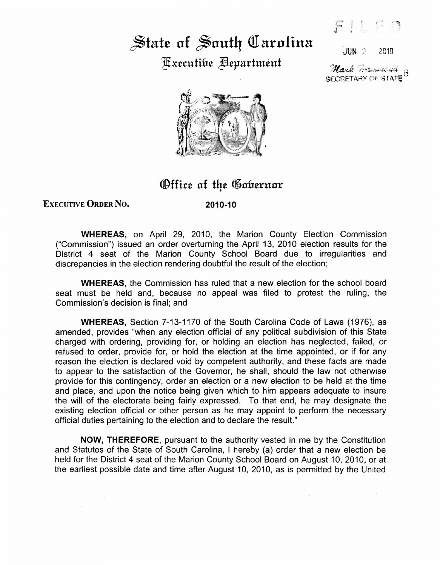## State of South Carolina Fixecutibe **Pepartment**

 $JUN$   $2$   $2010$ 

.<br>Mark Francisch <sub>a</sub> SECRETARY OF STATE



## Office of the Gobernor

## EXECUTIVE ORDER No.

 $\mathcal{U}$  .

2010-10

WHEREAS, on April 29, 2010, the Marion County Election Commission ("Commission") issued an order overturning the April 13, 2010 election results for the District 4 seat of the Marion County School Board due to irregularities and discrepancies in the election rendering doubtful the result of the election;

WHEREAS, the Commission has ruled that a new election for the school board seat must be held and, because no appeal was filed to protest the ruling, the Commission's decision is final; and

WHEREAS, Section 7-13-1170 of the South Carolina Code of Laws (1976), as amended, provides "when any election official of any political subdivision of this State charged with ordering, providing for, or holding an election has neglected, failed, or refused to order, provide for, or hold the election at the time appointed, or if for any reason the election is declared void by competent authority, and these facts are made to appear to the satisfaction of the Governor, he shall, should the law not otherwise provide for this contingency, order an election or a new election to be held at the time and place, and upon the notice being given which to him appears adequate to insure the will of the electorate being fairly expressed. To that end, he may designate the existing election official or other person as he may appoint to perform the necessary official duties pertaining to the election and to declare the result."

NOW, THEREFORE, pursuant to the authority vested in me by the Constitution and Statutes of the State of South Carolina, I hereby (a) order that a new election be held for the District 4 seat of the Marion County School Board on August 10, 2010, or at the earliest possible date and time after August 10, 2010, as is permitted by the United